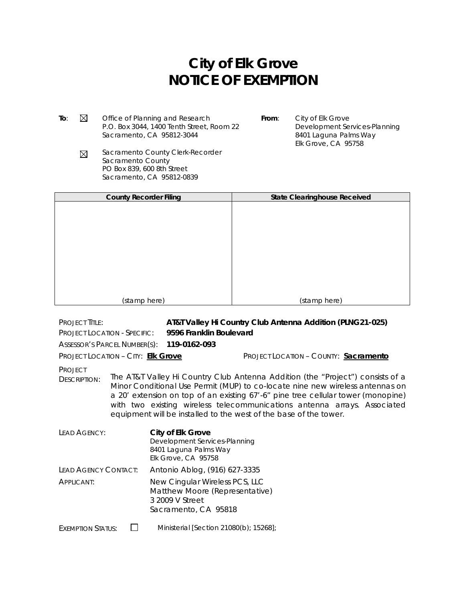## **City of Elk Grove NOTICE OF EXEMPTION**

**To:**  $\boxtimes$  Office of Planning and Research P.O. Box 3044, 1400 Tenth Street, Room 22 Sacramento, CA 95812-3044

**From**: City of Elk Grove Development Services-Planning 8401 Laguna Palms Way Elk Grove, CA 95758

Sacramento County Clerk-Recorder  $\boxtimes$ Sacramento County PO Box 839, 600 8th Street Sacramento, CA 95812-0839

| <b>County Recorder Filing</b> | <b>State Clearinghouse Received</b> |
|-------------------------------|-------------------------------------|
|                               |                                     |
|                               |                                     |
|                               |                                     |
|                               |                                     |
|                               |                                     |
|                               |                                     |
|                               |                                     |
|                               |                                     |
| (stamp here)                  | (stamp here)                        |

PROJECT TITLE: **AT&T Valley Hi Country Club Antenna Addition (PLNG21-025)** PROJECT LOCATION - SPECIFIC: **9596 Franklin Boulevard** ASSESSOR'S PARCEL NUMBER(S): **119-0162-093** PROJECT LOCATION – CITY: **Elk Grove** PROJECT LOCATION – COUNTY: **Sacramento** PROJECT DESCRIPTION: The AT&T Valley Hi Country Club Antenna Addition (the "Project") consists of a Minor Conditional Use Permit (MUP) to co-locate nine new wireless antennas on a 20' extension on top of an existing 67'-6" pine tree cellular tower (monopine) with two existing wireless telecommunications antenna arrays. Associated equipment will be installed to the west of the base of the tower. LEAD AGENCY: **City of Elk Grove** Development Services-Planning 8401 Laguna Palms Way Elk Grove, CA 95758 LEAD AGENCY CONTACT: Antonio Ablog, (916) 627-3335 APPLICANT: New Cingular Wireless PCS, LLC Matthew Moore (Representative) 3 2009 V Street Sacramento, CA 95818 EXEMPTION STATUS:  $\Box$  Ministerial [Section 21080(b); 15268];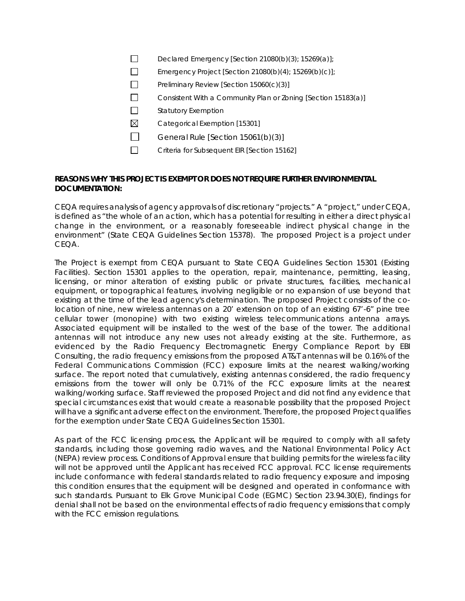- $\Box$ Declared Emergency [Section 21080(b)(3); 15269(a)];
- $\Box$ Emergency Project [Section 21080(b)(4); 15269(b)(c)];
- $\Box$ Preliminary Review [Section 15060(c)(3)]
- $\Box$ Consistent With a Community Plan or Zoning [Section 15183(a)]
- $\Box$ Statutory Exemption
- $\boxtimes$ Categorical Exemption [15301]
- $\Box$ General Rule [Section 15061(b)(3)]
- $\Box$ Criteria for Subsequent EIR [Section 15162]

## **REASONS WHY THIS PROJECT IS EXEMPT OR DOES NOT REQUIRE FURTHER ENVIRONMENTAL DOCUMENTATION:**

CEQA requires analysis of agency approvals of discretionary "projects." A "project," under CEQA, is defined as "the whole of an action, which has a potential for resulting in either a direct physical change in the environment, or a reasonably foreseeable indirect physical change in the environment" (State CEQA Guidelines Section 15378). The proposed Project is a project under CEQA.

The Project is exempt from CEQA pursuant to State CEQA Guidelines Section 15301 (Existing Facilities). Section 15301 applies to the operation, repair, maintenance, permitting, leasing, licensing, or minor alteration of existing public or private structures, facilities, mechanical equipment, or topographical features, involving negligible or no expansion of use beyond that existing at the time of the lead agency's determination. The proposed Project consists of the colocation of nine, new wireless antennas on a 20' extension on top of an existing 67'-6" pine tree cellular tower (monopine) with two existing wireless telecommunications antenna arrays. Associated equipment will be installed to the west of the base of the tower. The additional antennas will not introduce any new uses not already existing at the site. Furthermore, as evidenced by the Radio Frequency Electromagnetic Energy Compliance Report by EBI Consulting, the radio frequency emissions from the proposed AT&T antennas will be 0.16% of the Federal Communications Commission (FCC) exposure limits at the nearest walking/working surface. The report noted that cumulatively, existing antennas considered, the radio frequency emissions from the tower will only be 0.71% of the FCC exposure limits at the nearest walking/working surface. Staff reviewed the proposed Project and did not find any evidence that special circumstances exist that would create a reasonable possibility that the proposed Project will have a significant adverse effect on the environment. Therefore, the proposed Project qualifies for the exemption under State CEQA Guidelines Section 15301.

As part of the FCC licensing process, the Applicant will be required to comply with all safety standards, including those governing radio waves, and the National Environmental Policy Act (NEPA) review process. Conditions of Approval ensure that building permits for the wireless facility will not be approved until the Applicant has received FCC approval. FCC license requirements include conformance with federal standards related to radio frequency exposure and imposing this condition ensures that the equipment will be designed and operated in conformance with such standards. Pursuant to Elk Grove Municipal Code (EGMC) Section 23.94.30(E), findings for denial shall not be based on the environmental effects of radio frequency emissions that comply with the FCC emission regulations.